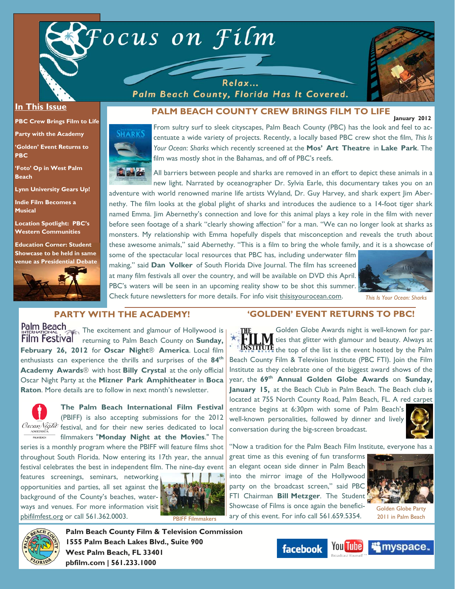

Relax... Palm Beach County, Florida Has It Covered.



**January 2012** 

#### **In This Issue**

**PBC Crew Brings Film to Life** 

**Party with the Academy** 

**'Golden' Event Returns to PBC** 

**'Foto' Op in West Palm Beach** 

**Lynn University Gears Up!** 

**Indie Film Becomes a Musical** 

**Location Spotlight: PBC's Western Communities** 

**Education Corner: Student Showcase to be held in same venue as Presidential Debate**



### **PALM BEACH COUNTY CREW BRINGS FILM TO LIFE**

SHARKS

From sultry surf to sleek cityscapes, Palm Beach County (PBC) has the look and feel to accentuate a wide variety of projects. Recently, a locally based PBC crew shot the film, *This Is Your Ocean*: *Sharks* which recently screened at the **Mos' Art Theatre** in **Lake Park**. The film was mostly shot in the Bahamas, and off of PBC's reefs.



All barriers between people and sharks are removed in an effort to depict these animals in a new light. Narrated by oceanographer Dr. Sylvia Earle, this documentary takes you on an

adventure with world renowned marine life artists Wyland, Dr. Guy Harvey, and shark expert Jim Abernethy. The film looks at the global plight of sharks and introduces the audience to a 14-foot tiger shark named Emma. Jim Abernethy's connection and love for this animal plays a key role in the film with never before seen footage of a shark "clearly showing affection" for a man. "We can no longer look at sharks as monsters. My relationship with Emma hopefully dispels that misconception and reveals the truth about these awesome animals," said Abernethy. "This is a film to bring the whole family, and it is a showcase of

some of the spectacular local resources that PBC has, including underwater film making," said **Dan Volker** of South Florida Dive Journal. The film has screened at many film festivals all over the country, and will be available on DVD this April. PBC's waters will be seen in an upcoming reality show to be shot this summer. Check future newsletters for more details. For info visit thisisyourocean.com. *This Is Your Ocean: Sharks* 



# **PARTY WITH THE ACADEMY!**

Palm Beach<br>INTERNATIONAL The excitement and glamour of Hollywood is Film Festival returning to Palm Beach County on Sunday, **February 26, 2012** for **Oscar Night**® **America**. Local film enthusiasts can experience the thrills and surprises of the **84th Academy Awards**® with host **Billy Crystal** at the only official Oscar Night Party at the **Mizner Park Amphitheater** in **Boca Raton**. More details are to follow in next month's newsletter.



**The Palm Beach International Film Festival** (PBIFF) is also accepting submissions for the 2012 OscanNight festival, and for their new series dedicated to local

filmmakers "**Monday Night at the Movies**." The series is a monthly program where the PBIFF will feature films shot throughout South Florida. Now entering its 17th year, the annual festival celebrates the best in independent film. The nine-day event features screenings, seminars, networking opportunities and parties, all set against the

background of the County's beaches, waterways and venues. For more information visit pbifilmfest.org or call 561.362.0003.



### **'GOLDEN' EVENT RETURNS TO PBC!**

Golden Globe Awards night is well-known for par- $\textbf{H}$  M ties that glitter with glamour and beauty. Always at  $\overline{\textbf{INSTITUTE}}$  the top of the list is the event hosted by the Palm Beach County Film & Television Institute (PBC FTI). Join the Film Institute as they celebrate one of the biggest award shows of the year, the **69th Annual Golden Globe Awards** on **Sunday, January 15,** at the Beach Club in Palm Beach. The Beach club is located at 755 North County Road, Palm Beach, FL. A red carpet entrance begins at 6:30pm with some of Palm Beach's well-known personalities, followed by dinner and lively conversation during the big-screen broadcast.

"Now a tradition for the Palm Beach Film Institute, everyone has a

great time as this evening of fun transforms an elegant ocean side dinner in Palm Beach into the mirror image of the Hollywood party on the broadcast screen," said PBC FTI Chairman **Bill Metzger**. The Student Showcase of Films is once again the beneficiary of this event. For info call 561.659.5354.



Golden Globe Party 2011 in Palm Beach



**Palm Beach County Film & Television Commission 1555 Palm Beach Lakes Blvd., Suite 900 West Palm Beach, FL 33401 pbfilm.com | 561.233.1000** 

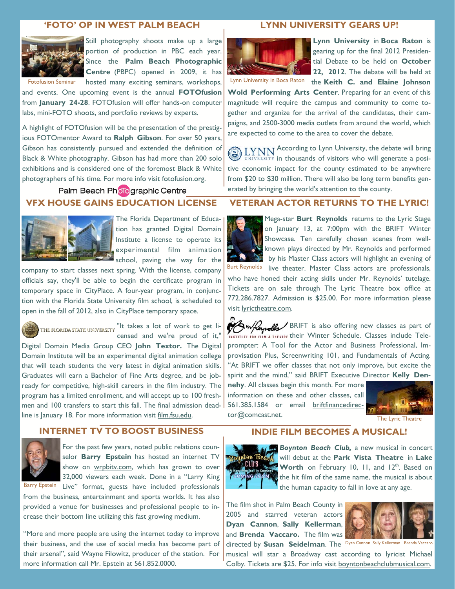### **'FOTO' OP IN WEST PALM BEACH**



Still photography shoots make up a large portion of production in PBC each year. Since the **Palm Beach Photographic Centre** (PBPC) opened in 2009, it has hosted many exciting seminars, workshops,

and events. One upcoming event is the annual **FOTOfusion** from **January 24-28**. FOTOfusion will offer hands-on computer labs, mini-FOTO shoots, and portfolio reviews by experts.

A highlight of FOTOfusion will be the presentation of the prestigious FOTOmentor Award to **Ralph Gibson**. For over 50 years, Gibson has consistently pursued and extended the definition of Black & White photography. Gibson has had more than 200 solo exhibitions and is considered one of the foremost Black & White photographers of his time. For more info visit fotofusion.org.

Palm Beach Pholographic Centre

## **VFX HOUSE GAINS EDUCATION LICENSE**



The Florida Department of Education has granted Digital Domain Institute a license to operate its experimental film animation school, paving the way for the

company to start classes next spring. With the license, company officials say, they'll be able to begin the certificate program in temporary space in CityPlace. A four-year program, in conjunction with the Florida State University film school, is scheduled to open in the fall of 2012, also in CityPlace temporary space.

THE FLORIDA STATE UNIVERSITY "It takes a lot of work to get licensed and we're proud of it," Digital Domain Media Group CEO **John Textor.** The Digital Domain Institute will be an experimental digital animation college that will teach students the very latest in digital animation skills. Graduates will earn a Bachelor of Fine Arts degree, and be jobready for competitive, high-skill careers in the film industry. The program has a limited enrollment, and will accept up to 100 freshmen and 100 transfers to start this fall. The final admission deadline is January 18. For more information visit film.fsu.edu.

# **INTERNET TV TO BOOST BUSINESS**



For the past few years, noted public relations counselor **Barry Epstein** has hosted an internet TV show on wrpbitv.com, which has grown to over 32,000 viewers each week. Done in a "Larry King

Barry Epstein Live" format, guests have included professionals from the business, entertainment and sports worlds. It has also provided a venue for businesses and professional people to increase their bottom line utilizing this fast growing medium.

"More and more people are using the internet today to improve their business, and the use of social media has become part of their arsenal", said Wayne Filowitz, producer of the station. For more information call Mr. Epstein at 561.852.0000.

#### **LYNN UNIVERSITY GEARS UP!**



Lynn University in Boca Raton

**Lynn University** in **Boca Raton** is gearing up for the final 2012 Presidential Debate to be held on **October 22, 2012**. The debate will be held at the **Keith C. and Elaine Johnson** 

**Wold Performing Arts Center**. Preparing for an event of this magnitude will require the campus and community to come together and organize for the arrival of the candidates, their campaigns, and 2500-3000 media outlets from around the world, which are expected to come to the area to cover the debate.

LYNN According to Lynn University, the debate will bring  $\overrightarrow{L_{\text{H}}_{\text{URRSTY}}}$  in thousands of visitors who will generate a positive economic impact for the county estimated to be anywhere from \$20 to \$30 million. There will also be long term benefits generated by bringing the world's attention to the county.

# **VETERAN ACTOR RETURNS TO THE LYRIC!**

Mega-star **Burt Reynolds** returns to the Lyric Stage on January 13, at 7:00pm with the BRIFT Winter Showcase. Ten carefully chosen scenes from wellknown plays directed by Mr. Reynolds and performed by his Master Class actors will highlight an evening of Burt Reynolds live theater. Master Class actors are professionals, who have honed their acting skills under Mr. Reynolds' tutelage. Tickets are on sale through The Lyric Theatre box office at

772.286.7827. Admission is \$25.00. For more information please visit lyrictheatre.com.

Bun Reynolls BRIFT is also offering new classes as part of ISTITUTE FOR FILM & THEATRE their Winter Schedule. Classes include Teleprompter: A Tool for the Actor and Business Professional, Improvisation Plus, Screenwriting 101, and Fundamentals of Acting. "At BRIFT we offer classes that not only improve, but excite the spirit and the mind," said BRIFT Executive Director **Kelly Den-**

**nehy**. All classes begin this month. For more information on these and other classes, call 561.385.1584 or email briftfinancedirector@comcast.net.



The Lyric Theatre

#### **INDIE FILM BECOMES A MUSICAL!**



*Boynton Beach Club,* a new musical in concert will debut at the **Park Vista Theatre** in **Lake Worth** on February 10, 11, and 12<sup>th</sup>. Based on  $\mathbf \Theta$  the hit film of the same name, the musical is about the human capacity to fall in love at any age.

The film shot in Palm Beach County in 2005 and starred veteran actors **Dyan Cannon**, **Sally Kellerman**, and **Brenda Vaccaro.** The film was



directed by **Susan Seidelman**. The Dyan Cannon Sally Kellerman Brenda Vaccaro

musical will star a Broadway cast according to lyricist Michael Colby. Tickets are \$25. For info visit boyntonbeachclubmusical.com.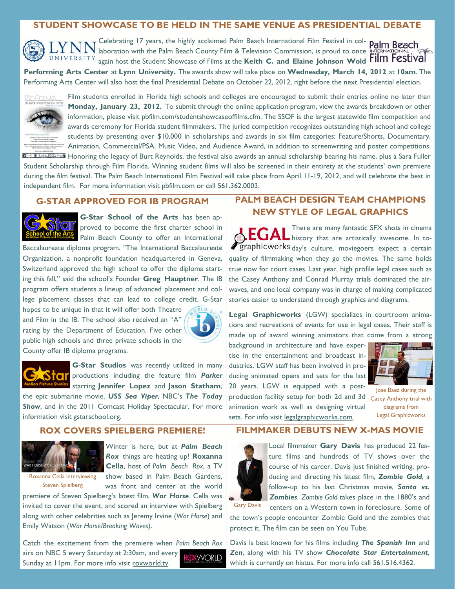## **STUDENT SHOWCASE TO BE HELD IN THE SAME VENUE AS PRESIDENTIAL DEBATE**

Celebrating 17 years, the highly acclaimed Palm Beach International Film Festival in col- Palm Beach laboration with the Palm Beach County Film & Television Commission, is proud to once UNIVERSITY again host the Student Showcase of Films at the Keith C. and Elaine Johnson Wold Film Festival

**Performing Arts Center** at **Lynn University.** The awards show will take place on **Wednesday, March 14, 2012** at **10am**. The Performing Arts Center will also host the final Presidential Debate on October 22, 2012, right before the next Presidential election.



Film students enrolled in Florida high schools and colleges are encouraged to submit their entries online no later than **Monday, January 23, 2012.** To submit through the online application program, view the awards breakdown or other information, please visit phfilm.com/studentshowcaseoffilms.cfm. The SSOF is the largest statewide film competition and awards ceremony for Florida student filmmakers. The juried competition recognizes outstanding high school and college students by presenting over \$10,000 in scholarships and awards in six film categories: Feature/Shorts, Documentary, Animation, Commercial/PSA, Music Video, and Audience Award, in addition to screenwriting and poster competitions. Homoring the legacy of Burt Reynolds, the festival also awards an annual scholarship bearing his name, plus a Sara Fuller

Student Scholarship through Film Florida. Winning student films will also be screened in their entirety at the students' own premiere during the film festival. The Palm Beach International Film Festival will take place from April 11-19, 2012, and will celebrate the best in independent film. For more information visit pbfilm.com or call 561.362.0003.

### **G-STAR APPROVED FOR IB PROGRAM**



**G-Star School of the Arts** has been approved to become the first charter school in Palm Beach County to offer an International

Baccalaureate diploma program. "The International Baccalaureate Organization, a nonprofit foundation headquartered in Geneva, Switzerland approved the high school to offer the diploma starting this fall," said the school's Founder **Greg Hauptner**. The IB program offers students a lineup of advanced placement and college placement classes that can lead to college credit. G-Star

hopes to be unique in that it will offer both Theatre and Film in the IB. The school also received an "A" rating by the Department of Education. Five other public high schools and three private schools in the County offer IB diploma programs.



**G-Star Studios** was recently utilized in many productions including the feature film *Parker* starring **Jennifer Lopez** and **Jason Statham**,

the epic submarine movie, *USS Sea Viper*, NBC's *The Today Show*, and in the 2011 Comcast Holiday Spectacular. For more information visit gstarschool.org.

# **ROX COVERS SPIELBERG PREMIERE!**



Roxanna Cella interviewing Steven Spielberg

Winter is here, but at *Palm Beach Rox* things are heating up! **Roxanna Cella**, host of *Palm Beach Rox*, a TV show based in Palm Beach Gardens, was front and center at the world

premiere of Steven Spielberg's latest film, *War Horse*. Cella was invited to cover the event, and scored an interview with Spielberg along with other celebrities such as Jeremy Irvine (*War Horse*) and Emily Watson (*War Horse/Breaking Waves*).

Catch the excitement from the premiere when *Palm Beach Rox*  airs on NBC 5 every Saturday at 2:30am, and every **OXWORLD** Sunday at 11pm. For more info visit roxworld.tv.

# **PALM BEACH DESIGN TEAM CHAMPIONS NEW STYLE OF LEGAL GRAPHICS**

There are many fantastic SFX shots in cinema **AFG L** history that are artistically awesome. In to-**Fgraphicworks** day's culture, moviegoers expect a certain quality of filmmaking when they go the movies. The same holds true now for court cases. Last year, high profile legal cases such as the Casey Anthony and Conrad Murray trials dominated the airwaves, and one local company was in charge of making complicated stories easier to understand through graphics and diagrams.

**Legal Graphicworks** (LGW) specializes in courtroom animations and recreations of events for use in legal cases. Their staff is made up of award winning animators that come from a strong

background in architecture and have expertise in the entertainment and broadcast industries. LGW staff has been involved in producing animated opens and sets for the last 20 years. LGW is equipped with a postproduction facility setup for both 2d and 3d Casey Anthony trial with animation work as well as designing virtual sets. For info visit legalgraphicworks.com.



Jose Baez during the diagrams from Legal Graphicworks

#### **FILMMAKER DEBUTS NEW X-MAS MOVIE**



Local filmmaker **Gary Davis** has produced 22 feature films and hundreds of TV shows over the course of his career. Davis just finished writing, producing and directing his latest film, *Zombie Gold*, a follow-up to his last Christmas movie, *Santa vs. Zombies*. *Zombie Gold* takes place in the 1880's and centers on a Western town in foreclosure. Some of

the town's people encounter Zombie Gold and the zombies that protect it. The film can be seen on You Tube.

Davis is best known for his films including *The Spanish Inn* and *Zen*, along with his TV show *Chocolate Star Entertainment*, which is currently on hiatus. For more info call 561.516.4362.